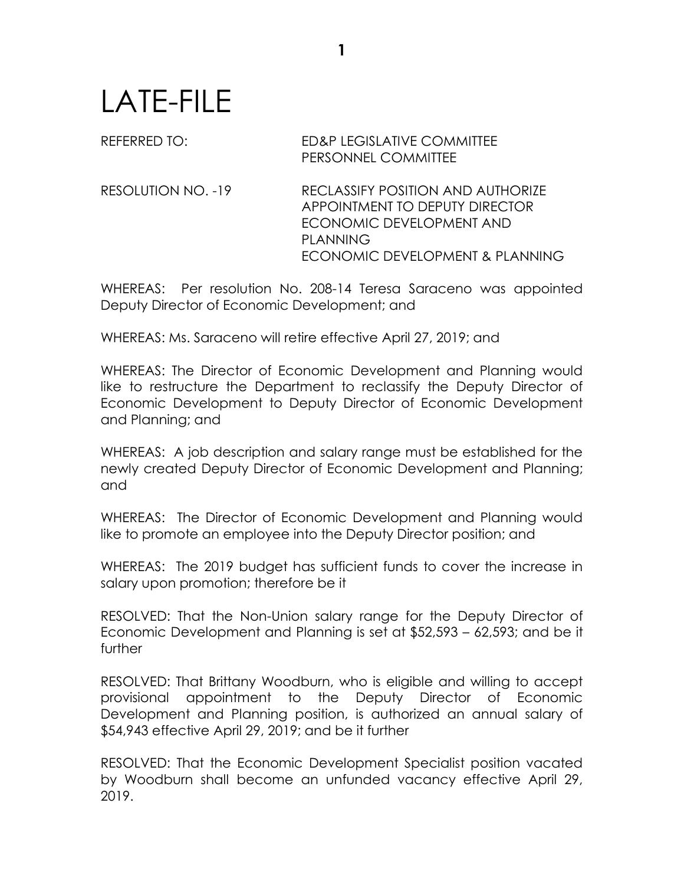## LATE-FILE

REFERRED TO: ED&P LEGISLATIVE COMMITTEE PERSONNEL COMMITTEE

RESOLUTION NO. -19 RECLASSIFY POSITION AND AUTHORIZE APPOINTMENT TO DEPUTY DIRECTOR ECONOMIC DEVELOPMENT AND PLANNING ECONOMIC DEVELOPMENT & PLANNING

WHEREAS: Per resolution No. 208-14 Teresa Saraceno was appointed Deputy Director of Economic Development; and

WHEREAS: Ms. Saraceno will retire effective April 27, 2019; and

WHEREAS: The Director of Economic Development and Planning would like to restructure the Department to reclassify the Deputy Director of Economic Development to Deputy Director of Economic Development and Planning; and

WHEREAS: A job description and salary range must be established for the newly created Deputy Director of Economic Development and Planning; and

WHEREAS: The Director of Economic Development and Planning would like to promote an employee into the Deputy Director position; and

WHEREAS: The 2019 budget has sufficient funds to cover the increase in salary upon promotion; therefore be it

RESOLVED: That the Non-Union salary range for the Deputy Director of Economic Development and Planning is set at \$52,593 – 62,593; and be it further

RESOLVED: That Brittany Woodburn, who is eligible and willing to accept provisional appointment to the Deputy Director of Economic Development and Planning position, is authorized an annual salary of \$54,943 effective April 29, 2019; and be it further

RESOLVED: That the Economic Development Specialist position vacated by Woodburn shall become an unfunded vacancy effective April 29, 2019.

**1**